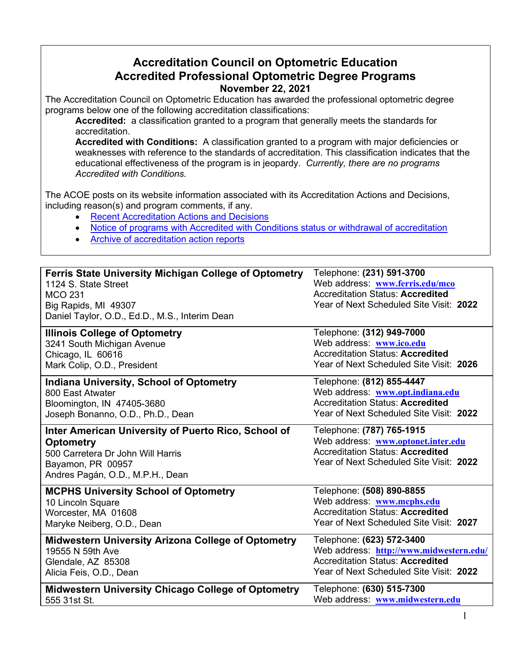## **Accreditation Council on Optometric Education Accredited Professional Optometric Degree Programs November 22, 2021**

The Accreditation Council on Optometric Education has awarded the professional optometric degree programs below one of the following accreditation classifications:

**Accredited:** a classification granted to a program that generally meets the standards for accreditation.

**Accredited with Conditions:** A classification granted to a program with major deficiencies or weaknesses with reference to the standards of accreditation. This classification indicates that the educational effectiveness of the program is in jeopardy. *Currently, there are no programs Accredited with Conditions.* 

The ACOE posts on its website information associated with its Accreditation Actions and Decisions, including reason(s) and program comments, if any.

- [Recent Accreditation Actions and Decisions](https://www.aoa.org/education/accreditation-council-on-optometric-education/recent-accreditation-actions?sso=y#RecentAccreditationActions)
- [Notice of programs with Accredited with Conditions status or withdrawal of accreditation](https://www.aoa.org/education/accreditation-council-on-optometric-education/recent-accreditation-actions?sso=y#NoticeofPrograms)
- [Archive of accreditation action reports](https://www.aoa.org/education/accreditation-council-on-optometric-education/recent-accreditation-actions?sso=y#ArchiveofPreviousAccreditationReports)

| <b>Ferris State University Michigan College of Optometry</b><br>1124 S. State Street<br><b>MCO 231</b><br>Big Rapids, MI 49307<br>Daniel Taylor, O.D., Ed.D., M.S., Interim Dean | Telephone: (231) 591-3700<br>Web address: www.ferris.edu/mco<br><b>Accreditation Status: Accredited</b><br>Year of Next Scheduled Site Visit: 2022    |
|----------------------------------------------------------------------------------------------------------------------------------------------------------------------------------|-------------------------------------------------------------------------------------------------------------------------------------------------------|
| <b>Illinois College of Optometry</b>                                                                                                                                             | Telephone: (312) 949-7000                                                                                                                             |
| 3241 South Michigan Avenue                                                                                                                                                       | Web address: www.ico.edu                                                                                                                              |
| Chicago, IL 60616                                                                                                                                                                | <b>Accreditation Status: Accredited</b>                                                                                                               |
| Mark Colip, O.D., President                                                                                                                                                      | Year of Next Scheduled Site Visit: 2026                                                                                                               |
| <b>Indiana University, School of Optometry</b>                                                                                                                                   | Telephone: (812) 855-4447                                                                                                                             |
| 800 East Atwater                                                                                                                                                                 | Web address: www.opt.indiana.edu                                                                                                                      |
| Bloomington, IN 47405-3680                                                                                                                                                       | <b>Accreditation Status: Accredited</b>                                                                                                               |
| Joseph Bonanno, O.D., Ph.D., Dean                                                                                                                                                | Year of Next Scheduled Site Visit: 2022                                                                                                               |
| Inter American University of Puerto Rico, School of<br><b>Optometry</b><br>500 Carretera Dr John Will Harris<br>Bayamon, PR 00957<br>Andres Pagán, O.D., M.P.H., Dean            | Telephone: (787) 765-1915<br>Web address: www.optonet.inter.edu<br><b>Accreditation Status: Accredited</b><br>Year of Next Scheduled Site Visit: 2022 |
| <b>MCPHS University School of Optometry</b>                                                                                                                                      | Telephone: (508) 890-8855                                                                                                                             |
| 10 Lincoln Square                                                                                                                                                                | Web address: www.mcphs.edu                                                                                                                            |
| Worcester, MA 01608                                                                                                                                                              | <b>Accreditation Status: Accredited</b>                                                                                                               |
| Maryke Neiberg, O.D., Dean                                                                                                                                                       | Year of Next Scheduled Site Visit: 2027                                                                                                               |
| <b>Midwestern University Arizona College of Optometry</b>                                                                                                                        | Telephone: (623) 572-3400                                                                                                                             |
| 19555 N 59th Ave                                                                                                                                                                 | Web address: http://www.midwestern.edu/                                                                                                               |
| Glendale, AZ 85308                                                                                                                                                               | <b>Accreditation Status: Accredited</b>                                                                                                               |
| Alicia Feis, O.D., Dean                                                                                                                                                          | Year of Next Scheduled Site Visit: 2022                                                                                                               |
| <b>Midwestern University Chicago College of Optometry</b>                                                                                                                        | Telephone: (630) 515-7300                                                                                                                             |
| 555 31st St.                                                                                                                                                                     | Web address: www.midwestern.edu                                                                                                                       |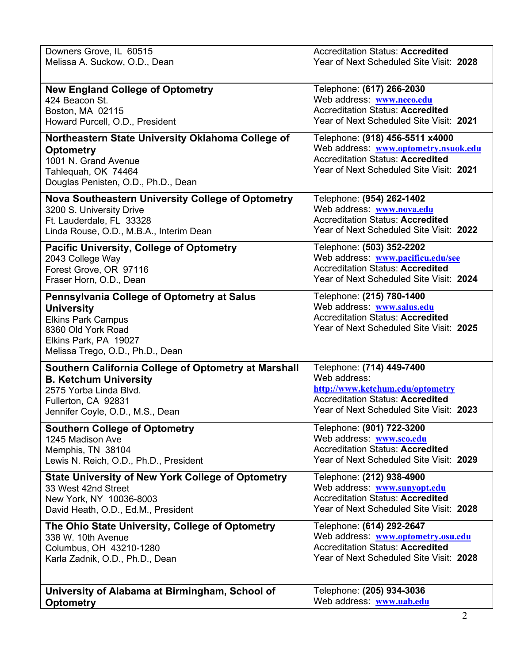| Downers Grove, IL 60515                                                                                                                                                                | <b>Accreditation Status: Accredited</b>                                                                                                                       |
|----------------------------------------------------------------------------------------------------------------------------------------------------------------------------------------|---------------------------------------------------------------------------------------------------------------------------------------------------------------|
| Melissa A. Suckow, O.D., Dean                                                                                                                                                          | Year of Next Scheduled Site Visit: 2028                                                                                                                       |
| <b>New England College of Optometry</b>                                                                                                                                                | Telephone: (617) 266-2030                                                                                                                                     |
| 424 Beacon St.                                                                                                                                                                         | Web address: www.neco.edu                                                                                                                                     |
| Boston, MA 02115                                                                                                                                                                       | <b>Accreditation Status: Accredited</b>                                                                                                                       |
| Howard Purcell, O.D., President                                                                                                                                                        | Year of Next Scheduled Site Visit: 2021                                                                                                                       |
| Northeastern State University Oklahoma College of<br><b>Optometry</b><br>1001 N. Grand Avenue<br>Tahlequah, OK 74464<br>Douglas Penisten, O.D., Ph.D., Dean                            | Telephone: (918) 456-5511 x4000<br>Web address: www.optometry.nsuok.edu<br><b>Accreditation Status: Accredited</b><br>Year of Next Scheduled Site Visit: 2021 |
| <b>Nova Southeastern University College of Optometry</b>                                                                                                                               | Telephone: (954) 262-1402                                                                                                                                     |
| 3200 S. University Drive                                                                                                                                                               | Web address: www.nova.edu                                                                                                                                     |
| Ft. Lauderdale, FL 33328                                                                                                                                                               | <b>Accreditation Status: Accredited</b>                                                                                                                       |
| Linda Rouse, O.D., M.B.A., Interim Dean                                                                                                                                                | Year of Next Scheduled Site Visit: 2022                                                                                                                       |
| <b>Pacific University, College of Optometry</b>                                                                                                                                        | Telephone: (503) 352-2202                                                                                                                                     |
| 2043 College Way                                                                                                                                                                       | Web address: www.pacificu.edu/see                                                                                                                             |
| Forest Grove, OR 97116                                                                                                                                                                 | <b>Accreditation Status: Accredited</b>                                                                                                                       |
| Fraser Horn, O.D., Dean                                                                                                                                                                | Year of Next Scheduled Site Visit: 2024                                                                                                                       |
| <b>Pennsylvania College of Optometry at Salus</b><br><b>University</b><br><b>Elkins Park Campus</b><br>8360 Old York Road<br>Elkins Park, PA 19027<br>Melissa Trego, O.D., Ph.D., Dean | Telephone: (215) 780-1400<br>Web address: www.salus.edu<br><b>Accreditation Status: Accredited</b><br>Year of Next Scheduled Site Visit: 2025                 |
| Southern California College of Optometry at Marshall                                                                                                                                   | Telephone: (714) 449-7400                                                                                                                                     |
| <b>B. Ketchum University</b>                                                                                                                                                           | Web address:                                                                                                                                                  |
| 2575 Yorba Linda Blvd.                                                                                                                                                                 | http://www.ketchum.edu/optometry                                                                                                                              |
| Fullerton, CA 92831                                                                                                                                                                    | <b>Accreditation Status: Accredited</b>                                                                                                                       |
| Jennifer Coyle, O.D., M.S., Dean                                                                                                                                                       | Year of Next Scheduled Site Visit: 2023                                                                                                                       |
| <b>Southern College of Optometry</b>                                                                                                                                                   | Telephone: (901) 722-3200                                                                                                                                     |
| 1245 Madison Ave                                                                                                                                                                       | Web address: www.sco.edu                                                                                                                                      |
| Memphis, TN 38104                                                                                                                                                                      | <b>Accreditation Status: Accredited</b>                                                                                                                       |
| Lewis N. Reich, O.D., Ph.D., President                                                                                                                                                 | Year of Next Scheduled Site Visit: 2029                                                                                                                       |
| <b>State University of New York College of Optometry</b>                                                                                                                               | Telephone: (212) 938-4900                                                                                                                                     |
| 33 West 42nd Street                                                                                                                                                                    | Web address: www.sunyopt.edu                                                                                                                                  |
| New York, NY 10036-8003                                                                                                                                                                | <b>Accreditation Status: Accredited</b>                                                                                                                       |
| David Heath, O.D., Ed.M., President                                                                                                                                                    | Year of Next Scheduled Site Visit: 2028                                                                                                                       |
| The Ohio State University, College of Optometry                                                                                                                                        | Telephone: (614) 292-2647                                                                                                                                     |
| 338 W. 10th Avenue                                                                                                                                                                     | Web address: www.optometry.osu.edu                                                                                                                            |
| Columbus, OH 43210-1280                                                                                                                                                                | <b>Accreditation Status: Accredited</b>                                                                                                                       |
| Karla Zadnik, O.D., Ph.D., Dean                                                                                                                                                        | Year of Next Scheduled Site Visit: 2028                                                                                                                       |
| University of Alabama at Birmingham, School of                                                                                                                                         | Telephone: (205) 934-3036                                                                                                                                     |
| <b>Optometry</b>                                                                                                                                                                       | Web address: www.uab.edu                                                                                                                                      |